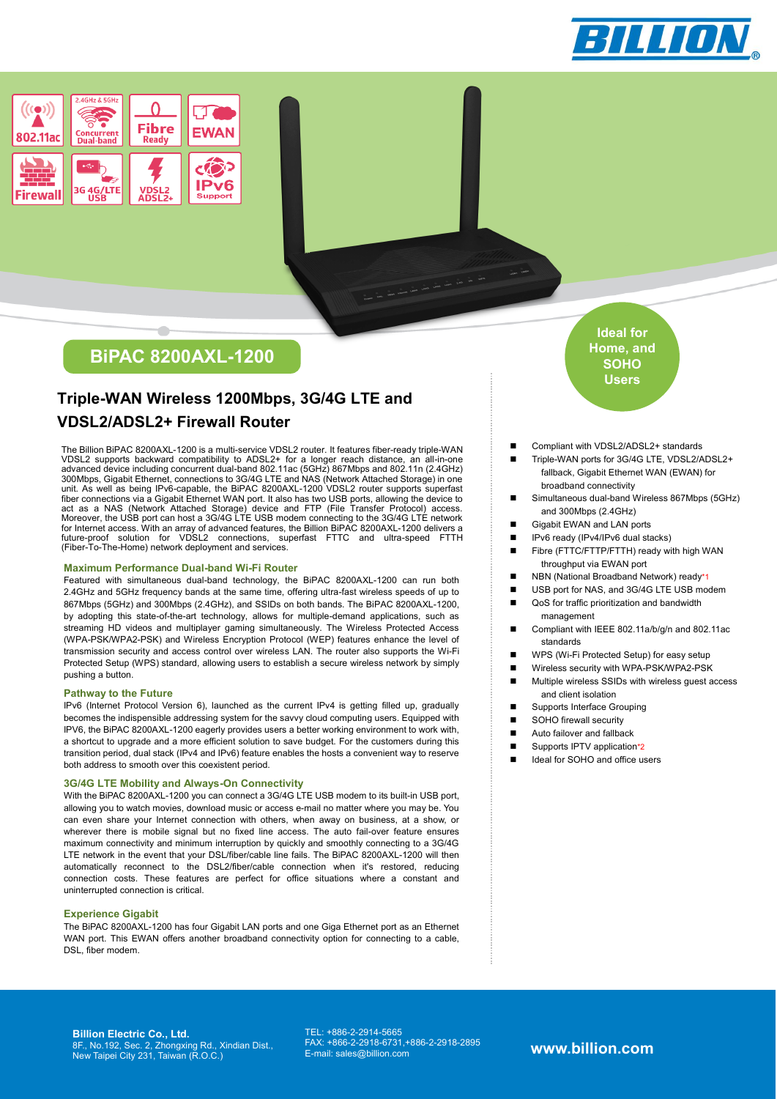



# **BiPAC 8200AXL-1200**

# **Triple-WAN Wireless 1200Mbps, 3G/4G LTE and VDSL2/ADSL2+ Firewall Router**

The Billion BiPAC 8200AXL-1200 is a multi-service VDSL2 router. It features fiber-ready triple-WAN VDSL2 supports backward compatibility to ADSL2+ for a longer reach distance, an all-in-one advanced device including concurrent dual-band 802.11ac (5GHz) 867Mbps and 802.11n (2.4GHz) 300Mbps, Gigabit Ethernet, connections to 3G/4G LTE and NAS (Network Attached Storage) in one unit. As well as being IPv6-capable, the BiPAC 8200AXL-1200 VDSL2 router supports superfast fiber connections via a Gigabit Ethernet WAN port. It also has two USB ports, allowing the device to act as a NAS (Network Attached Storage) device and FTP (File Transfer Protocol) access.<br>Moreover, the USB port can host a 3G/4G LTE USB modem connecting to the 3G/4G LTE network<br>for Internet access. With an array of advanc future-proof solution for VDSL2 connections, superfast FTTC and ultra-speed FTTH (Fiber-To-The-Home) network deployment and services.

## **Maximum Performance Dual-band Wi-Fi Router**

Featured with simultaneous dual-band technology, the BiPAC 8200AXL-1200 can run both 2.4GHz and 5GHz frequency bands at the same time, offering ultra-fast wireless speeds of up to 867Mbps (5GHz) and 300Mbps (2.4GHz), and SSIDs on both bands. The BiPAC 8200AXL-1200, by adopting this state-of-the-art technology, allows for multiple-demand applications, such as streaming HD videos and multiplayer gaming simultaneously. The Wireless Protected Access (WPA-PSK/WPA2-PSK) and Wireless Encryption Protocol (WEP) features enhance the level of transmission security and access control over wireless LAN. The router also supports the Wi-Fi Protected Setup (WPS) standard, allowing users to establish a secure wireless network by simply pushing a button.

## **Pathway to the Future**

IPv6 (Internet Protocol Version 6), launched as the current IPv4 is getting filled up, gradually becomes the indispensible addressing system for the savvy cloud computing users. Equipped with IPV6, the BiPAC 8200AXL-1200 eagerly provides users a better working environment to work with, a shortcut to upgrade and a more efficient solution to save budget. For the customers during this transition period, dual stack (IPv4 and IPv6) feature enables the hosts a convenient way to reserve both address to smooth over this coexistent period.

## **3G/4G LTE Mobility and Always-On Connectivity**

With the BiPAC 8200AXL-1200 you can connect a 3G/4G LTE USB modem to its built-in USB port. allowing you to watch movies, download music or access e-mail no matter where you may be. You can even share your Internet connection with others, when away on business, at a show, or wherever there is mobile signal but no fixed line access. The auto fail-over feature ensures maximum connectivity and minimum interruption by quickly and smoothly connecting to a 3G/4G LTE network in the event that your DSL/fiber/cable line fails. The BiPAC 8200AXL-1200 will then automatically reconnect to the DSL2/fiber/cable connection when it's restored, reducing connection costs. These features are perfect for office situations where a constant and uninterrupted connection is critical.

#### **Experience Gigabit**

The BiPAC 8200AXL-1200 has four Gigabit LAN ports and one Giga Ethernet port as an Ethernet WAN port. This EWAN offers another broadband connectivity option for connecting to a cable, DSL, fiber modem.

**Ideal for Home, and SOHO Users**

- Compliant with VDSL2/ADSL2+ standards
- Triple-WAN ports for 3G/4G LTE, VDSL2/ADSL2+ fallback, Gigabit Ethernet WAN (EWAN) for broadband connectivity
- Simultaneous dual-band Wireless 867Mbps (5GHz) and 300Mbps (2.4GHz)
- Gigabit EWAN and LAN ports
- IPv6 ready (IPv4/IPv6 dual stacks)
- Fibre (FTTC/FTTP/FTTH) ready with high WAN throughput via EWAN port
- NBN (National Broadband Network) ready\*1
- USB port for NAS, and 3G/4G LTE USB modem
- QoS for traffic prioritization and bandwidth management
- Compliant with IEEE 802.11a/b/g/n and 802.11ac standards
- WPS (Wi-Fi Protected Setup) for easy setup
- Wireless security with WPA-PSK/WPA2-PSK
- **Multiple wireless SSIDs with wireless guest access** and client isolation
- Supports Interface Grouping
- SOHO firewall security
- Auto failover and fallback
- Supports IPTV application\*2
- Ideal for SOHO and office users

**Billion Electric Co., Ltd.** 8F., No.192, Sec. 2, Zhongxing Rd., Xindian Dist., New Taipei City 231, Taiwan (R.O.C.) TEL: +886-2-2914-5665 FAX: +866-2-2918-6731,+886-2-2918-2895

E-mail: sales@billion.com **www.billion.com**